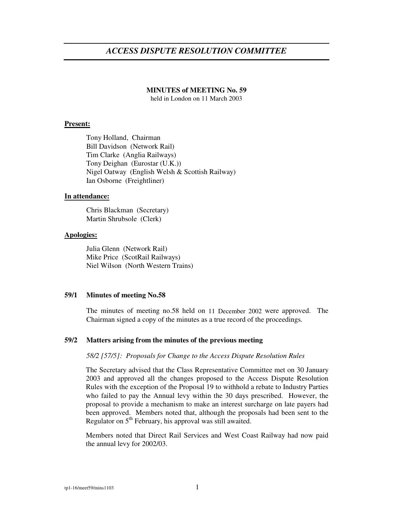# *ACCESS DISPUTE RESOLUTION COMMITTEE*

#### **MINUTES of MEETING No. 59**

held in London on 11 March 2003

#### **Present:**

Tony Holland, Chairman Bill Davidson (Network Rail) Tim Clarke (Anglia Railways) Tony Deighan (Eurostar (U.K.)) Nigel Oatway (English Welsh & Scottish Railway) Ian Osborne (Freightliner)

#### **In attendance:**

Chris Blackman (Secretary) Martin Shrubsole (Clerk)

#### **Apologies:**

Julia Glenn (Network Rail) Mike Price (ScotRail Railways) Niel Wilson (North Western Trains)

#### **59/1 Minutes of meeting No.58**

The minutes of meeting no.58 held on 11 December 2002 were approved. The Chairman signed a copy of the minutes as a true record of the proceedings.

#### **59/2 Matters arising from the minutes of the previous meeting**

#### *58/2 [57/5]: Proposals for Change to the Access Dispute Resolution Rules*

The Secretary advised that the Class Representative Committee met on 30 January 2003 and approved all the changes proposed to the Access Dispute Resolution Rules with the exception of the Proposal 19 to withhold a rebate to Industry Parties who failed to pay the Annual levy within the 30 days prescribed. However, the proposal to provide a mechanism to make an interest surcharge on late payers had been approved. Members noted that, although the proposals had been sent to the Regulator on 5<sup>th</sup> February, his approval was still awaited.

Members noted that Direct Rail Services and West Coast Railway had now paid the annual levy for 2002/03.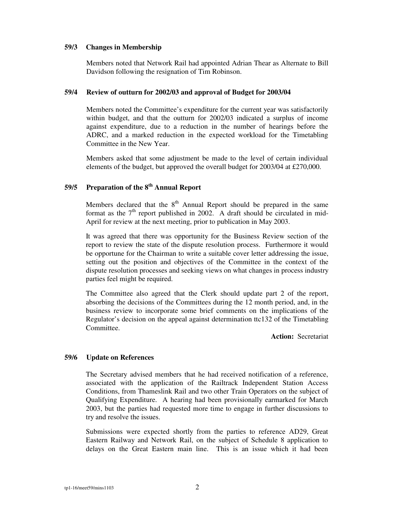#### **59/3 Changes in Membership**

Members noted that Network Rail had appointed Adrian Thear as Alternate to Bill Davidson following the resignation of Tim Robinson.

# **59/4 Review of outturn for 2002/03 and approval of Budget for 2003/04**

Members noted the Committee's expenditure for the current year was satisfactorily within budget, and that the outturn for 2002/03 indicated a surplus of income against expenditure, due to a reduction in the number of hearings before the ADRC, and a marked reduction in the expected workload for the Timetabling Committee in the New Year.

Members asked that some adjustment be made to the level of certain individual elements of the budget, but approved the overall budget for 2003/04 at £270,000.

# **59/5 Preparation of the 8 th Annual Report**

Members declared that the  $8<sup>th</sup>$  Annual Report should be prepared in the same format as the  $7<sup>th</sup>$  report published in 2002. A draft should be circulated in mid-April for review at the next meeting, prior to publication in May 2003.

It was agreed that there was opportunity for the Business Review section of the report to review the state of the dispute resolution process. Furthermore it would be opportune for the Chairman to write a suitable cover letter addressing the issue, setting out the position and objectives of the Committee in the context of the dispute resolution processes and seeking views on what changes in process industry parties feel might be required.

The Committee also agreed that the Clerk should update part 2 of the report, absorbing the decisions of the Committees during the 12 month period, and, in the business review to incorporate some brief comments on the implications of the Regulator's decision on the appeal against determination ttc132 of the Timetabling **Committee** 

**Action:** Secretariat

# **59/6 Update on References**

The Secretary advised members that he had received notification of a reference, associated with the application of the Railtrack Independent Station Access Conditions, from Thameslink Rail and two other Train Operators on the subject of Qualifying Expenditure. A hearing had been provisionally earmarked for March 2003, but the parties had requested more time to engage in further discussions to try and resolve the issues.

Submissions were expected shortly from the parties to reference AD29, Great Eastern Railway and Network Rail, on the subject of Schedule 8 application to delays on the Great Eastern main line. This is an issue which it had been